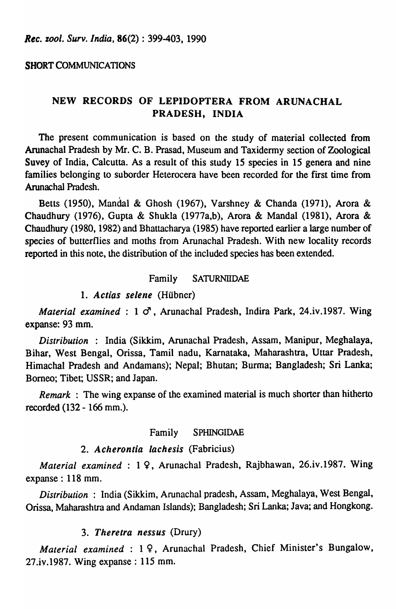## SHORT COMMUNICATIONS

# NEW RECORDS OF LEPIDOPTERA FROM ARUNACHAL PRADESH, INDIA

The present communication is based on the study of material collected from Arunachal Pradesh by Mr. C. B. Prasad, Museum and Taxidermy section of Zoological Suvey of India, Calcutta. As a result of this study 15 species in 15 genera and nine families belonging to suborder Heterocera have been recorded for the first time from Arunachal Pradesh.

Betts (1950), Mandai & Ghosh (1967), Varshney & Chanda (1971), Arora & Chaudhury (1976), Gupta & Shukla (1977a,b), Arora & MandaI (1981), Arora & Chaudhury (1980, 1982) and Bhattacharya (1985) have reported earlier a large number of species of butterflies and moths from Arunachal Pradesh. With new locality records reported in this note, the distribution of the included species has been extended.

# Family SATURNIIDAE

## *1. Actias selene* (Hubner)

*Material examined:* 1  $\sigma$ , Arunachal Pradesh, Indira Park, 24.iv.1987. Wing expanse: 93 mm.

*Distribution* : India (Sikkim, Arunachal Pradesh, Assam, Manipur, Meghalaya, Bihar, West Bengal, Orissa, Tamil nadu, Karnataka, Maharashtra, Uttar Pradesh, Himachal Pradesh and Andamans); Nepal; Bhutan; Burma; Bangladesh; Sri Lanka; Borneo; Tibet; USSR; and Japan.

*Remark* : The wing expanse of the examined material is much shorter than hitherto recorded (132 - 166 mm.).

#### Family SPHINGIDAE

#### *2. Acherontia lachesis* (Fabricius)

*Material examined:* 1 9, Arunachal Pradesh, Rajbhawan, 26.iv.1987. Wing expanse: 118 mm.

*Distribution* : India (Sikkim, Arunachal pradesh, Assam, Meghalaya, West Bengal, Orissa, Maharashtra and Andaman Islands); Bangladesh; Sri Lanka; Java; and Hongkong.

## *3. Theretra nessus* (Drury)

*Material examined* : 1 9, Arunachal Pradesh, Chief Minister's Bungalow, 27.iv.1987. Wing expanse: 115 mm.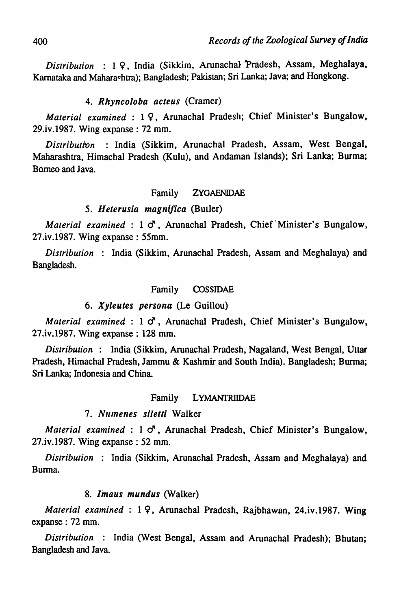*Distribution* : 19, India (Sikkim, Arunachal Pradesh, Assam, Meghalaya, Karnataka and Mahara~htra); Bangladesh; Pakistan; Sri Lanka; Java; and Hongkong.

## 4. Rhyncoloba acteus (Cramer)

*Material examined* : 19, Arunachal Pradesh; Chief Minister's Bungalow, 29.iv.1987. Wing expanse: 72 mm.

*Distribution* : India (Sikkim, Arunachal Pradesh, Assam, West Bengal, Maharashtra, Himachal Pradesh (Kulu), and Andaman Islands); Sri Lanka; Burma; Borneo and Java.

## Family ZYGAENIDAE

## 5. 11 *eterusia magnifica* (Butler)

*Material examined* : 1  $\sigma$ , Arunachal Pradesh, Chief Minister's Bungalow, 27.iv.1987. Wing expanse: 55mm.

*Distribution* : India (Sikkim, Arunachal Pradesh, Assam and Meghalaya) and Bangladesh.

#### Family COSSIDAE

#### *6. Xyleutes persona* (Le Guillou)

*Material examined* : 1  $\sigma$ , Arunachal Pradesh, Chief Minister's Bungalow, 27.iv.1987. Wing expanse: 128 mm.

*Distribution* : India (Sikkim, Arunachal Pradesh, Nagaland, West Bengal, Uttar Pradesh, Himachal Pradesh, Jammu & Kashmir and South India). Bangladesh; Burma; Sri Lanka; Indonesia and China.

#### Family LYMANTRIIDAE

#### 7. Numenes siletti Walker

*Material examined* : 1  $\sigma$ , Arunachal Pradesh, Chief Minister's Bungalow, 27.iv.1987. Wing expanse: 52 mm.

*Distribution* : India (Sikkim, Arunachal Pradesh, Assam and Meghalaya) and Burma.

#### 8. Imaus mundus (Walker)

*Material examined*: 19, Arunachal Pradesh, Rajbhawan, 24.iv.1987. Wing expanse: 72 mm.

*Distribution* : India (West Bengal, Assam and Arunachal Pradesh); Bhutan; Bangladesh and Java.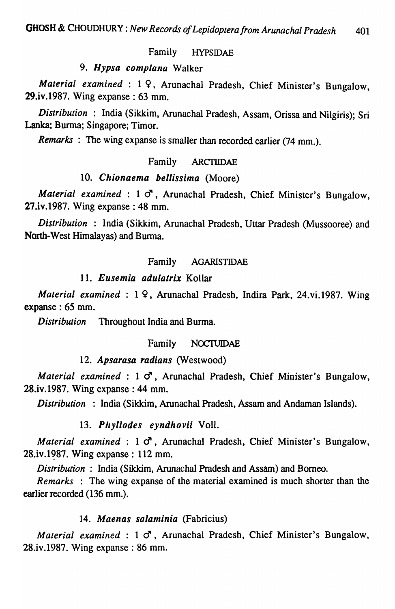## Family HYPSIDAE

# 9. Hypsa complana Walker

*Material examined* : 19, Arunachal Pradesh, Chief Minister's Bungalow, 29 .iv .1987. Wing expanse: 63 mm.

*Distribution* : India (Sikkim, Arunachal Pradesh, Assam, Orissa and Nilgiris); Sri Lanka; Burma; Singapore; Timor.

*Remarks:* The wing expanse is smaller than recorded earlier (74 mm.).

## Family ARCTIIDAE

## 10. Chionaema bellissima (Moore)

*Material examined* : 1  $\sigma$ , Arunachal Pradesh, Chief Minister's Bungalow, 27.iv.1987. Wing expanse: 48 mm.

*Distribution* : India (Sikkim, Arunachal Pradesh, Uttar Pradesh (Mussooree) and North-West Himalayas) and Burma.

## Family AGARISTIDAE

## 11. Eusemia adulatrix Kollar

*Material examined:* 19, Arunachal Pradesh, Indira Park, 24.vi.1987. Wing expanse: 65 mm.

*Distribution* Throughout India and Burma.

## Family NOCTUIDAE

#### 12. Apsarasa radians (Westwood)

*Material examined* : 1  $\sigma$ , Arunachal Pradesh, Chief Minister's Bungalow, 28.iv.1987. Wing expanse: 44 mm.

*Distribution* : India (Sikkim, Arunachal Pradesh, Assam and Andaman Islands).

# 13. Phyllodes eyndhovii Voll.

*Material examined* :  $1 \circ$ , Arunachal Pradesh, Chief Minister's Bungalow, 28.iv.1987. Wing expanse : 112 mm.

*Distribution* : India (Sikkim, Arunachal Pradesh and Assam) and Borneo.

*Remarks* : The wing expanse of the material examined is much shorter than the earlier recorded (136 mm.).

## 14. Maenas salaminia (Fabricius)

*Material examined* :  $1 \circ$ , Arunachal Pradesh, Chief Minister's Bungalow, 28.iv .1987. Wing expanse: 86 mm.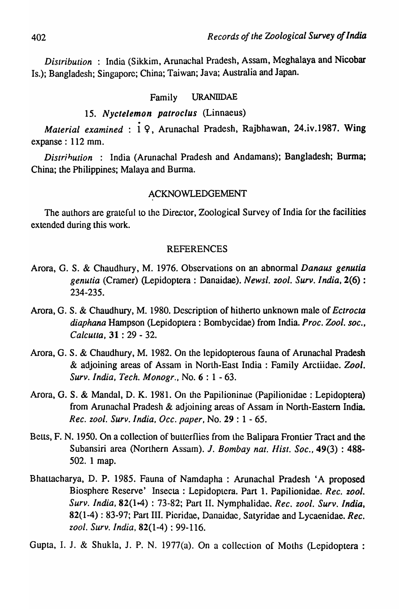*Distribution* : India (Sikkim, Arunachal Pradesh, Assam, Meghalaya and Nicobar Is.); Bangladesh; Singapore; China; Taiwan; Java; Australia and Japan.

## Family URANIIDAE

# *15. Nyctelemon patroclus* (Linnaeus)

*Material examined* : i 9, Arunachal Pradesh, Rajbhawan, 24.iv .1987. Wing expanse: 112 mm.

*Distribution* : India (Arunachal Pradesh and Andamans); Bangladesh; Burma; China; the Philippines; Malaya and Burma.

#### ACKNOWLEDGEMENT

The authors are grateful to the Director, Zoological Survey of India for the facilities extended during this work.

## REFERENCES

- Arora, G. S. & Chaudhury, M. 1976. Observations on an abnormal *Danaus genutia genutia* (Cramer) (Lepidoptera: Danaidae). *Newsl. zool. Surv. India,* 2(6) : 234-235.
- Arora, G. S. & Chaudhury, M. 1980. Description of hitherto unknown male of *Ectrocta diaphana* Hampson (Lepidoptera: Bombycidae) from India. *Proc. Zool. soc., Calcutta,* 31 : 29 - 32.
- Arora, G. S. & Chaudhury, M. 1982. On the Iepidopterous fauna of Arunachal Pradesh & adjoining areas of Assam in North-East India: Family Arctiidae. *Zool. Surv. India, Tech. Monogr.,* No.6: 1 - 63.
- Arora, G. S. & MandaI, D. K. 1981. On the Papilioninae (Papilionidae : Lepidoptera) from Arunachal Pradesh & adjoining areas of Assam in North-Eastern India. *Rec. zoo* I. *Surv. India, Occ. paper,* No. 29 : 1 - 65.
- Betts, F. N. 1950. On a collection of butterflies from the Balipara Frontier Tract and the Subansiri area (Northern Assam). J. *Bombay nat. Hist. Soc.*, 49(3): 488-502. 1 map.
- Bhattacharya, D. P. 1985. Fauna of Namdapha : Arunachal Pradesh 'A proposed Biosphere Reserve' Insecta: Lepidoptera. Part 1. Papilionidae. *Rec. zool. Surv. India,* 82(1t4) : 73-82; Part II. Nymphalidae. *Rec. zool. Surv. India,*  82(1-4): 83-97; Part III. Picridae, Danaidae, Satyridae and Lycaenidae. *Rec. zool. Surv.lndia,* 82(1-4): 99-116.

Gupta, I. J. & Shukla, J. P. N. 1977(a). On a collection of Moths (Lepidoptera: